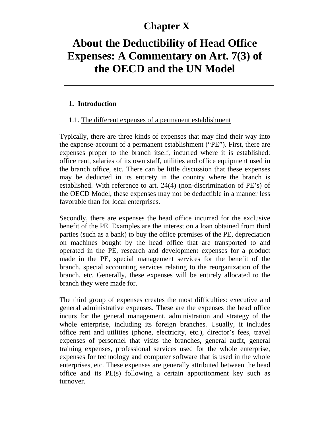# **Chapter X**

# **About the Deductibility of Head Office Expenses: A Commentary on Art. 7(3) of the OECD and the UN Model**

#### **1. Introduction**

#### 1.1. The different expenses of a permanent establishment

Typically, there are three kinds of expenses that may find their way into the expense-account of a permanent establishment ("PE"). First, there are expenses proper to the branch itself, incurred where it is established: office rent, salaries of its own staff, utilities and office equipment used in the branch office, etc. There can be little discussion that these expenses may be deducted in its entirety in the country where the branch is established. With reference to art. 24(4) (non-discrimination of PE's) of the OECD Model, these expenses may not be deductible in a manner less favorable than for local enterprises.

Secondly, there are expenses the head office incurred for the exclusive benefit of the PE. Examples are the interest on a loan obtained from third parties (such as a bank) to buy the office premises of the PE, depreciation on machines bought by the head office that are transported to and operated in the PE, research and development expenses for a product made in the PE, special management services for the benefit of the branch, special accounting services relating to the reorganization of the branch, etc. Generally, these expenses will be entirely allocated to the branch they were made for.

The third group of expenses creates the most difficulties: executive and general administrative expenses. These are the expenses the head office incurs for the general management, administration and strategy of the whole enterprise, including its foreign branches. Usually, it includes office rent and utilities (phone, electricity, etc.), director's fees, travel expenses of personnel that visits the branches, general audit, general training expenses, professional services used for the whole enterprise, expenses for technology and computer software that is used in the whole enterprises, etc. These expenses are generally attributed between the head office and its PE(s) following a certain apportionment key such as turnover.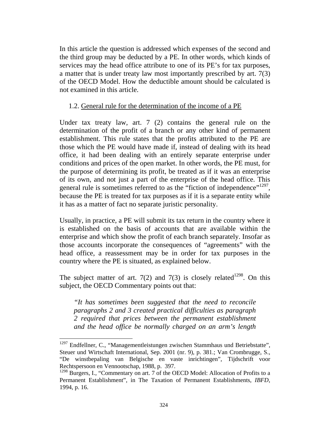In this article the question is addressed which expenses of the second and the third group may be deducted by a PE. In other words, which kinds of services may the head office attribute to one of its PE's for tax purposes, a matter that is under treaty law most importantly prescribed by art. 7(3) of the OECD Model. How the deductible amount should be calculated is not examined in this article.

#### 1.2. General rule for the determination of the income of a PE

Under tax treaty law, art. 7 (2) contains the general rule on the determination of the profit of a branch or any other kind of permanent establishment. This rule states that the profits attributed to the PE are those which the PE would have made if, instead of dealing with its head office, it had been dealing with an entirely separate enterprise under conditions and prices of the open market. In other words, the PE must, for the purpose of determining its profit, be treated as if it was an enterprise of its own, and not just a part of the enterprise of the head office. This general rule is sometimes referred to as the "fiction of independence"<sup>1297</sup>, because the PE is treated for tax purposes as if it is a separate entity while it has as a matter of fact no separate juristic personality.

Usually, in practice, a PE will submit its tax return in the country where it is established on the basis of accounts that are available within the enterprise and which show the profit of each branch separately. Insofar as those accounts incorporate the consequences of "agreements" with the head office, a reassessment may be in order for tax purposes in the country where the PE is situated, as explained below.

The subject matter of art.  $7(2)$  and  $7(3)$  is closely related<sup>1298</sup>. On this subject, the OECD Commentary points out that:

*"It has sometimes been suggested that the need to reconcile paragraphs 2 and 3 created practical difficulties as paragraph 2 required that prices between the permanent establishment and the head office be normally charged on an arm's length* 

 $1297$  Endfellner, C., "Managementleistungen zwischen Stammhaus und Betriebstatte", Steuer und Wirtschaft International, Sep. 2001 (nr. 9), p. 381.; Van Crombrugge, S., "De winstbepaling van Belgische en vaste inrichtingen", Tijdschrift voor Rechtspersoon en Vennootschap, 1988, p. 397.

<sup>&</sup>lt;sup>1298</sup> Burgers, I., "Commentary on art. 7 of the OECD Model: Allocation of Profits to a Permanent Establishment", in The Taxation of Permanent Establishments*, IBFD*, 1994, p. 16.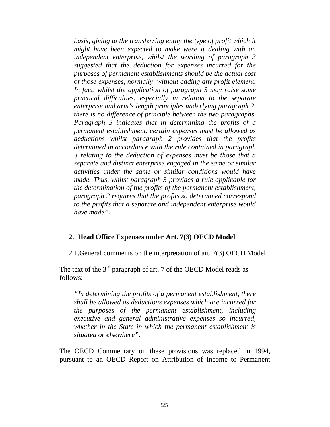*basis, giving to the transferring entity the type of profit which it might have been expected to make were it dealing with an independent enterprise, whilst the wording of paragraph 3 suggested that the deduction for expenses incurred for the purposes of permanent establishments should be the actual cost of those expenses, normally without adding any profit element. In fact, whilst the application of paragraph 3 may raise some practical difficulties, especially in relation to the separate enterprise and arm's length principles underlying paragraph 2, there is no difference of principle between the two paragraphs. Paragraph 3 indicates that in determining the profits of a permanent establishment, certain expenses must be allowed as deductions whilst paragraph 2 provides that the profits determined in accordance with the rule contained in paragraph 3 relating to the deduction of expenses must be those that a separate and distinct enterprise engaged in the same or similar activities under the same or similar conditions would have made. Thus, whilst paragraph 3 provides a rule applicable for the determination of the profits of the permanent establishment, paragraph 2 requires that the profits so determined correspond to the profits that a separate and independent enterprise would have made".* 

#### **2. Head Office Expenses under Art. 7(3) OECD Model**

2.1.General comments on the interpretation of art. 7(3) OECD Model

The text of the 3<sup>rd</sup> paragraph of art. 7 of the OECD Model reads as follows:

*"In determining the profits of a permanent establishment, there shall be allowed as deductions expenses which are incurred for the purposes of the permanent establishment, including executive and general administrative expenses so incurred, whether in the State in which the permanent establishment is situated or elsewhere".* 

The OECD Commentary on these provisions was replaced in 1994, pursuant to an OECD Report on Attribution of Income to Permanent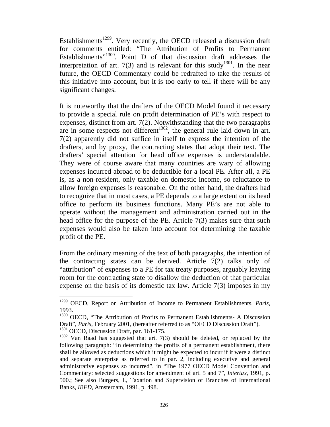Establishments<sup>1299</sup>. Very recently, the OECD released a discussion draft for comments entitled: "The Attribution of Profits to Permanent Establishments<sup>"1300</sup>. Point D of that discussion draft addresses the interpretation of art. 7(3) and is relevant for this study<sup>1301</sup>. In the near future, the OECD Commentary could be redrafted to take the results of this initiative into account, but it is too early to tell if there will be any significant changes.

It is noteworthy that the drafters of the OECD Model found it necessary to provide a special rule on profit determination of PE's with respect to expenses, distinct from art. 7(2). Notwithstanding that the two paragraphs are in some respects not different<sup>1302</sup>, the general rule laid down in art. 7(2) apparently did not suffice in itself to express the intention of the drafters, and by proxy, the contracting states that adopt their text. The drafters' special attention for head office expenses is understandable. They were of course aware that many countries are wary of allowing expenses incurred abroad to be deductible for a local PE. After all, a PE is, as a non-resident, only taxable on domestic income, so reluctance to allow foreign expenses is reasonable. On the other hand, the drafters had to recognize that in most cases, a PE depends to a large extent on its head office to perform its business functions. Many PE's are not able to operate without the management and administration carried out in the head office for the purpose of the PE. Article 7(3) makes sure that such expenses would also be taken into account for determining the taxable profit of the PE.

From the ordinary meaning of the text of both paragraphs, the intention of the contracting states can be derived. Article 7(2) talks only of "attribution" of expenses to a PE for tax treaty purposes, arguably leaving room for the contracting state to disallow the deduction of that particular expense on the basis of its domestic tax law. Article  $7(3)$  imposes in my

<sup>1299</sup> OECD, Report on Attribution of Income to Permanent Establishments, *Paris,* 1993.

<sup>&</sup>lt;sup>1300</sup> OECD, "The Attribution of Profits to Permanent Establishments- A Discussion Draft", *Paris*, February 2001, (hereafter referred to as "OECD Discussion Draft"). <sup>1301</sup> OECD, Discussion Draft, par. 161-175.

<sup>&</sup>lt;sup>1302</sup> Van Raad has suggested that art. 7(3) should be deleted, or replaced by the following paragraph: "In determining the profits of a permanent establishment, there shall be allowed as deductions which it might be expected to incur if it were a distinct and separate enterprise as referred to in par. 2, including executive and general administrative expenses so incurred", in "The 1977 OECD Model Convention and Commentary: selected suggestions for amendment of art. 5 and 7", *Intertax*, 1991, p. 500.; See also Burgers, I., Taxation and Supervision of Branches of International Banks, *IBFD*, Amsterdam, 1991, p. 498.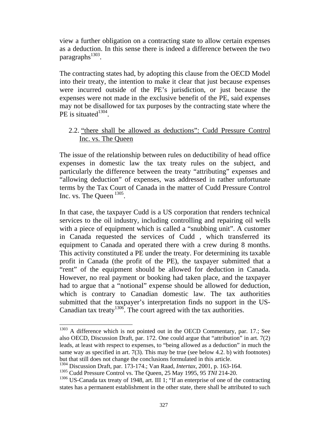view a further obligation on a contracting state to allow certain expenses as a deduction. In this sense there is indeed a difference between the two paragraphs $^{1303}$ .

The contracting states had, by adopting this clause from the OECD Model into their treaty, the intention to make it clear that just because expenses were incurred outside of the PE's jurisdiction, or just because the expenses were not made in the exclusive benefit of the PE, said expenses may not be disallowed for tax purposes by the contracting state where the PE is situated<sup>1304</sup>.

# 2.2. "there shall be allowed as deductions": Cudd Pressure Control Inc. vs. The Queen

The issue of the relationship between rules on deductibility of head office expenses in domestic law the tax treaty rules on the subject, and particularly the difference between the treaty "attributing" expenses and "allowing deduction" of expenses, was addressed in rather unfortunate terms by the Tax Court of Canada in the matter of Cudd Pressure Control Inc. vs. The Queen  $^{1305}$ .

In that case, the taxpayer Cudd is a US corporation that renders technical services to the oil industry, including controlling and repairing oil wells with a piece of equipment which is called a "snubbing unit". A customer in Canada requested the services of Cudd , which transferred its equipment to Canada and operated there with a crew during 8 months. This activity constituted a PE under the treaty. For determining its taxable profit in Canada (the profit of the PE), the taxpayer submitted that a "rent" of the equipment should be allowed for deduction in Canada. However, no real payment or booking had taken place, and the taxpayer had to argue that a "notional" expense should be allowed for deduction, which is contrary to Canadian domestic law. The tax authorities submitted that the taxpayer's interpretation finds no support in the US-Canadian tax treaty<sup>1306</sup>. The court agreed with the tax authorities.

 $1303$  A difference which is not pointed out in the OECD Commentary, par. 17.; See also OECD, Discussion Draft, par. 172. One could argue that "attribution" in art. 7(2) leads, at least with respect to expenses, to "being allowed as a deduction" in much the same way as specified in art. 7(3). This may be true (see below 4.2. b) with footnotes) but that still does not change the conclusions formulated in this article.

<sup>1304</sup> Discussion Draft, par. 173-174.; Van Raad, *Intertax*, 2001, p. 163-164.

<sup>1305</sup> Cudd Pressure Control vs. The Queen, 25 May 1995, 95 *TNI* 214-20.

<sup>&</sup>lt;sup>1306</sup> US-Canada tax treaty of 1948, art. III 1; "If an enterprise of one of the contracting states has a permanent establishment in the other state, there shall be attributed to such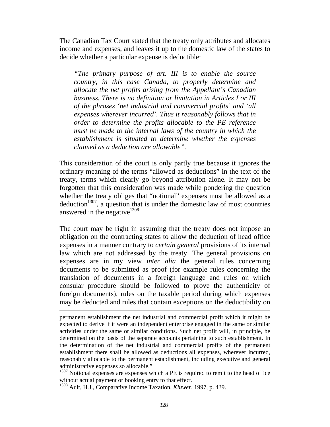The Canadian Tax Court stated that the treaty only attributes and allocates income and expenses, and leaves it up to the domestic law of the states to decide whether a particular expense is deductible:

*"The primary purpose of art. III is to enable the source country, in this case Canada, to properly determine and allocate the net profits arising from the Appellant's Canadian business. There is no definition or limitation in Articles I or III of the phrases 'net industrial and commercial profits' and 'all expenses wherever incurred'. Thus it reasonably follows that in order to determine the profits allocable to the PE reference must be made to the internal laws of the country in which the establishment is situated to determine whether the expenses claimed as a deduction are allowable".* 

This consideration of the court is only partly true because it ignores the ordinary meaning of the terms "allowed as deductions" in the text of the treaty, terms which clearly go beyond attribution alone. It may not be forgotten that this consideration was made while pondering the question whether the treaty obliges that "notional" expenses must be allowed as a  $deduction<sup>1307</sup>$ , a question that is under the domestic law of most countries answered in the negative $1308$ .

The court may be right in assuming that the treaty does not impose an obligation on the contracting states to allow the deduction of head office expenses in a manner contrary to *certain general* provisions of its internal law which are not addressed by the treaty. The general provisions on expenses are in my view *inter alia* the general rules concerning documents to be submitted as proof (for example rules concerning the translation of documents in a foreign language and rules on which consular procedure should be followed to prove the authenticity of foreign documents), rules on the taxable period during which expenses may be deducted and rules that contain exceptions on the deductibility on

<sup>1307</sup> Notional expenses are expenses which a PE is required to remit to the head office without actual payment or booking entry to that effect.

1308 Ault, H.J., Comparative Income Taxation, *Kluwer,* 1997, p. 439.

-

permanent establishment the net industrial and commercial profit which it might be expected to derive if it were an independent enterprise engaged in the same or similar activities under the same or similar conditions. Such net profit will, in principle, be determined on the basis of the separate accounts pertaining to such establishment. In the determination of the net industrial and commercial profits of the permanent establishment there shall be allowed as deductions all expenses, wherever incurred, reasonably allocable to the permanent establishment, including executive and general administrative expenses so allocable."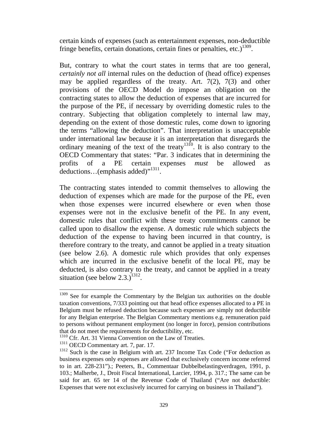certain kinds of expenses (such as entertainment expenses, non-deductible fringe benefits, certain donations, certain fines or penalties, etc.)<sup>1309</sup>.

But, contrary to what the court states in terms that are too general, *certainly not all* internal rules on the deduction of (head office) expenses may be applied regardless of the treaty. Art. 7(2), 7(3) and other provisions of the OECD Model do impose an obligation on the contracting states to allow the deduction of expenses that are incurred for the purpose of the PE, if necessary by overriding domestic rules to the contrary. Subjecting that obligation completely to internal law may, depending on the extent of those domestic rules, come down to ignoring the terms "allowing the deduction". That interpretation is unacceptable under international law because it is an interpretation that disregards the ordinary meaning of the text of the treaty<sup>1310</sup>. It is also contrary to the OECD Commentary that states: "Par. 3 indicates that in determining the profits of a PE certain expenses *must* be allowed as deductions...(emphasis added)"<sup>1311</sup>.

The contracting states intended to commit themselves to allowing the deduction of expenses which are made for the purpose of the PE, even when those expenses were incurred elsewhere or even when those expenses were not in the exclusive benefit of the PE. In any event, domestic rules that conflict with these treaty commitments cannot be called upon to disallow the expense. A domestic rule which subjects the deduction of the expense to having been incurred in that country, is therefore contrary to the treaty, and cannot be applied in a treaty situation (see below 2.6). A domestic rule which provides that only expenses which are incurred in the exclusive benefit of the local PE, may be deducted, is also contrary to the treaty, and cannot be applied in a treaty situation (see below  $2.3$ .)<sup>1312</sup>.

<sup>1311</sup> OECD Commentary art. 7, par. 17.

 $1309$  See for example the Commentary by the Belgian tax authorities on the double taxation conventions, 7/333 pointing out that head office expenses allocated to a PE in Belgium must be refused deduction because such expenses are simply not deductible for any Belgian enterprise. The Belgian Commentary mentions e.g. remuneration paid to persons without permanent employment (no longer in force), pension contributions that do not meet the requirements for deductibility, etc.

<sup>&</sup>lt;sup>1310</sup> Cfr. Art. 31 Vienna Convention on the Law of Treaties.

 $1312$  Such is the case in Belgium with art. 237 Income Tax Code ("For deduction as business expenses only expenses are allowed that exclusively concern income referred to in art. 228-231").; Peeters, B., Commentaar Dubbelbelastingverdragen, 1991, p. 103.; Malherbe, J., Droit Fiscal International, Larcier, 1994, p. 317.; The same can be said for art. 65 ter 14 of the Revenue Code of Thailand ("Are not deductible: Expenses that were not exclusively incurred for carrying on business in Thailand").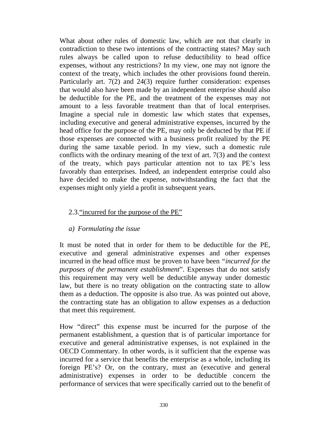What about other rules of domestic law, which are not that clearly in contradiction to these two intentions of the contracting states? May such rules always be called upon to refuse deductibility to head office expenses, without any restrictions? In my view, one may not ignore the context of the treaty, which includes the other provisions found therein. Particularly art. 7(2) and 24(3) require further consideration: expenses that would also have been made by an independent enterprise should also be deductible for the PE, and the treatment of the expenses may not amount to a less favorable treatment than that of local enterprises. Imagine a special rule in domestic law which states that expenses, including executive and general administrative expenses, incurred by the head office for the purpose of the PE, may only be deducted by that PE if those expenses are connected with a business profit realized by the PE during the same taxable period. In my view, such a domestic rule conflicts with the ordinary meaning of the text of art. 7(3) and the context of the treaty, which pays particular attention not to tax PE's less favorably than enterprises. Indeed, an independent enterprise could also have decided to make the expense, notwithstanding the fact that the expenses might only yield a profit in subsequent years.

#### 2.3."incurred for the purpose of the PE"

#### *a) Formulating the issue*

It must be noted that in order for them to be deductible for the PE, executive and general administrative expenses and other expenses incurred in the head office must be proven to have been *"incurred for the purposes of the permanent establishment*". Expenses that do not satisfy this requirement may very well be deductible anyway under domestic law, but there is no treaty obligation on the contracting state to allow them as a deduction. The opposite is also true. As was pointed out above, the contracting state has an obligation to allow expenses as a deduction that meet this requirement.

How "direct" this expense must be incurred for the purpose of the permanent establishment, a question that is of particular importance for executive and general administrative expenses, is not explained in the OECD Commentary. In other words, is it sufficient that the expense was incurred for a service that benefits the enterprise as a whole, including its foreign PE's? Or, on the contrary, must an (executive and general administrative) expenses in order to be deductible concern the performance of services that were specifically carried out to the benefit of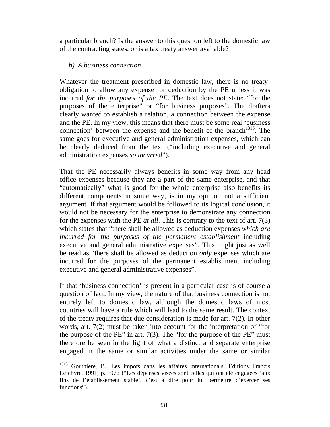a particular branch? Is the answer to this question left to the domestic law of the contracting states, or is a tax treaty answer available?

#### *b) A business connection*

 $\overline{a}$ 

Whatever the treatment prescribed in domestic law, there is no treatyobligation to allow any expense for deduction by the PE unless it was incurred *for the purposes of the PE*. The text does not state: "for the purposes of the enterprise" or "for business purposes". The drafters clearly wanted to establish a relation, a connection between the expense and the PE. In my view, this means that there must be some real 'business connection' between the expense and the benefit of the branch<sup>1313</sup>. The same goes for executive and general administration expenses, which can be clearly deduced from the text ("including executive and general administration expenses *so incurred*").

That the PE necessarily always benefits in some way from any head office expenses because they are a part of the same enterprise, and that "automatically" what is good for the whole enterprise also benefits its different components in some way, is in my opinion not a sufficient argument. If that argument would be followed to its logical conclusion, it would not be necessary for the enterprise to demonstrate any connection for the expenses with the PE *at all*. This is contrary to the text of art. 7(3) which states that "there shall be allowed as deduction expenses *which are incurred for the purposes of the permanent establishment* including executive and general administrative expenses". This might just as well be read as "there shall be allowed as deduction *only* expenses which are incurred for the purposes of the permanent establishment including executive and general administrative expenses".

If that 'business connection' is present in a particular case is of course a question of fact. In my view, the nature of that business connection is not entirely left to domestic law, although the domestic laws of most countries will have a rule which will lead to the same result. The context of the treaty requires that due consideration is made for art. 7(2). In other words, art. 7(2) must be taken into account for the interpretation of "for the purpose of the PE" in art.  $7(3)$ . The "for the purpose of the PE" must therefore be seen in the light of what a distinct and separate enterprise engaged in the same or similar activities under the same or similar

<sup>&</sup>lt;sup>1313</sup> Gouthiere, B., Les impots dans les affaires internationals, Editions Francis Lefebvre, 1991, p. 197.: ("Les dépenses visées sont celles qui ont été engagées 'aux fins de l'établissement stable', c'est à dire pour lui permettre d'exercer ses functions").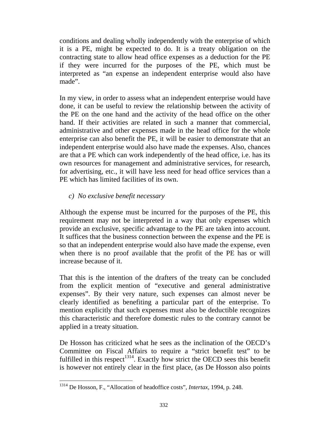conditions and dealing wholly independently with the enterprise of which it is a PE, might be expected to do. It is a treaty obligation on the contracting state to allow head office expenses as a deduction for the PE if they were incurred for the purposes of the PE, which must be interpreted as "an expense an independent enterprise would also have made".

In my view, in order to assess what an independent enterprise would have done, it can be useful to review the relationship between the activity of the PE on the one hand and the activity of the head office on the other hand. If their activities are related in such a manner that commercial, administrative and other expenses made in the head office for the whole enterprise can also benefit the PE, it will be easier to demonstrate that an independent enterprise would also have made the expenses. Also, chances are that a PE which can work independently of the head office, i.e. has its own resources for management and administrative services, for research, for advertising, etc., it will have less need for head office services than a PE which has limited facilities of its own.

# *c) No exclusive benefit necessary*

Although the expense must be incurred for the purposes of the PE, this requirement may not be interpreted in a way that only expenses which provide an exclusive, specific advantage to the PE are taken into account. It suffices that the business connection between the expense and the PE is so that an independent enterprise would also have made the expense, even when there is no proof available that the profit of the PE has or will increase because of it.

That this is the intention of the drafters of the treaty can be concluded from the explicit mention of "executive and general administrative expenses". By their very nature, such expenses can almost never be clearly identified as benefiting a particular part of the enterprise. To mention explicitly that such expenses must also be deductible recognizes this characteristic and therefore domestic rules to the contrary cannot be applied in a treaty situation.

De Hosson has criticized what he sees as the inclination of the OECD's Committee on Fiscal Affairs to require a "strict benefit test" to be fulfilled in this respect<sup>1314</sup>. Exactly how strict the OECD sees this benefit is however not entirely clear in the first place, (as De Hosson also points

 $\overline{a}$ 1314 De Hosson, F., "Allocation of headoffice costs", *Intertax*, 1994, p. 248.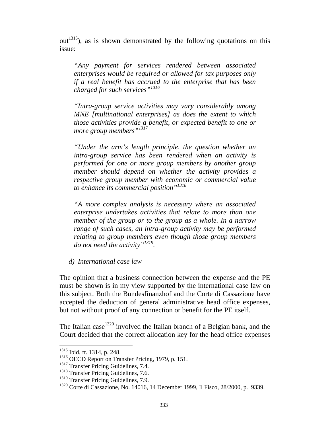$out<sup>1315</sup>$ , as is shown demonstrated by the following quotations on this issue:

*"Any payment for services rendered between associated enterprises would be required or allowed for tax purposes only if a real benefit has accrued to the enterprise that has been charged for such services"<sup>1316</sup>*

*"Intra-group service activities may vary considerably among MNE [multinational enterprises] as does the extent to which those activities provide a benefit, or expected benefit to one or more group members"<sup>1317</sup>*

*"Under the arm's length principle, the question whether an intra-group service has been rendered when an activity is performed for one or more group members by another group member should depend on whether the activity provides a respective group member with economic or commercial value to enhance its commercial position"1318*

*"A more complex analysis is necessary where an associated enterprise undertakes activities that relate to more than one member of the group or to the group as a whole. In a narrow range of such cases, an intra-group activity may be performed relating to group members even though those group members do not need the activity"1319.* 

*d) International case law* 

The opinion that a business connection between the expense and the PE must be shown is in my view supported by the international case law on this subject. Both the Bundesfinanzhof and the Corte di Cassazione have accepted the deduction of general administrative head office expenses, but not without proof of any connection or benefit for the PE itself.

The Italian case  $1320$  involved the Italian branch of a Belgian bank, and the Court decided that the correct allocation key for the head office expenses

<sup>1315</sup> Ibid, ft. 1314, p. 248.

 $1316$  OECD Report on Transfer Pricing, 1979, p. 151.

<sup>&</sup>lt;sup>1317</sup> Transfer Pricing Guidelines, 7.4.

<sup>&</sup>lt;sup>1318</sup> Transfer Pricing Guidelines, 7.6.

<sup>&</sup>lt;sup>1319</sup> Transfer Pricing Guidelines, 7.9.

<sup>1320</sup> Corte di Cassazione, No. 14016, 14 December 1999, Il Fisco, 28/2000, p. 9339.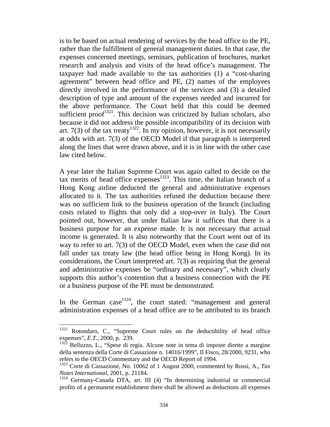is to be based on actual rendering of services by the head office to the PE, rather than the fulfillment of general management duties. In that case, the expenses concerned meetings, seminars, publication of brochures, market research and analysis and visits of the head office's management. The taxpayer had made available to the tax authorities (1) a "cost-sharing agreement" between head office and PE, (2) names of the employees directly involved in the performance of the services and (3) a detailed description of type and amount of the expenses needed and incurred for the above performance. The Court held that this could be deemed sufficient proof $1321$ . This decision was criticized by Italian scholars, also because it did not address the possible incompatibility of its decision with art. 7(3) of the tax treaty<sup>1322</sup>. In my opinion, however, it is not necessarily at odds with art. 7(3) of the OECD Model if that paragraph is interpreted along the lines that were drawn above, and it is in line with the other case law cited below.

A year later the Italian Supreme Court was again called to decide on the tax merits of head office expenses<sup>1323</sup>. This time, the Italian branch of a Hong Kong airline deducted the general and administrative expenses allocated to it. The tax authorities refused the deduction because there was no sufficient link to the business operation of the branch (including costs related to flights that only did a stop-over in Italy). The Court pointed out, however, that under Italian law it suffices that there is a business purpose for an expense made. It is not necessary that actual income is generated. It is also noteworthy that the Court went out of its way to refer to art. 7(3) of the OECD Model, even when the case did not fall under tax treaty law (the head office being in Hong Kong). In its considerations, the Court interpreted art. 7(3) as requiring that the general and administrative expenses be "ordinary and necessary", which clearly supports this author's contention that a business connection with the PE or a business purpose of the PE must be demonstrated.

In the German case  $1324$ , the court stated: "management and general administration expenses of a head office are to be attributed to its branch

<sup>1321</sup> Rotondaro, C., "Supreme Court rules on the deductibility of head office expenses", *E.T.,* 2000, p. 239.

<sup>&</sup>lt;sup>1322</sup> Belluzzo, L., "Spese di regia. Alcune note in tema di imposte dirette a margine della sentenza della Corte di Cassazione n. 14016/1999", Il Fisco, 28/2000, 9231, who refers to the OECD Commentary and the OECD Report of 1994.

<sup>1323</sup> Corte di Cassazione, No. 10062 of 1 August 2000, commented by Rossi, A., *Tax Notes International*, 2001, p. 21184.

<sup>&</sup>lt;sup>1324</sup> Germany-Canada DTA, art. III (4) "In determining industrial or commercial profits of a permanent establishment there shall be allowed as deductions all expenses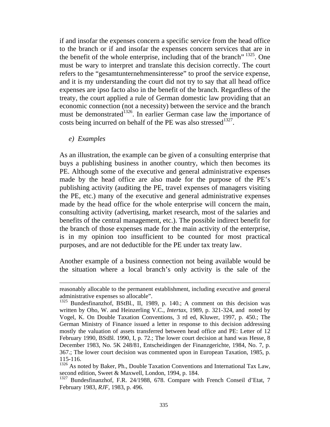if and insofar the expenses concern a specific service from the head office to the branch or if and insofar the expenses concern services that are in the benefit of the whole enterprise, including that of the branch<sup> $\frac{1325}{1325}$ </sup>. One must be wary to interpret and translate this decision correctly. The court refers to the "gesamtunternehmensinteresse" to proof the service expense, and it is my understanding the court did not try to say that all head office expenses are ipso facto also in the benefit of the branch. Regardless of the treaty, the court applied a rule of German domestic law providing that an economic connection (not a necessity) between the service and the branch must be demonstrated<sup>1326</sup>. In earlier German case law the importance of costs being incurred on behalf of the PE was also stressed<sup>1327</sup>.

*e) Examples* 

-

As an illustration, the example can be given of a consulting enterprise that buys a publishing business in another country, which then becomes its PE. Although some of the executive and general administrative expenses made by the head office are also made for the purpose of the PE's publishing activity (auditing the PE, travel expenses of managers visiting the PE, etc.) many of the executive and general administrative expenses made by the head office for the whole enterprise will concern the main, consulting activity (advertising, market research, most of the salaries and benefits of the central management, etc.). The possible indirect benefit for the branch of those expenses made for the main activity of the enterprise, is in my opinion too insufficient to be counted for most practical purposes, and are not deductible for the PE under tax treaty law.

Another example of a business connection not being available would be the situation where a local branch's only activity is the sale of the

reasonably allocable to the permanent establishment, including executive and general administrative expenses so allocable".

<sup>&</sup>lt;sup>1325</sup> Bundesfinanzhof, BStBl., II, 1989, p. 140.; A comment on this decision was written by Oho, W. and Heinzerling V.C., *Intertax*, 1989, p. 321-324, and noted by Vogel, K. On Double Taxation Conventions, 3 rd ed, Kluwer, 1997, p. 450.; The German Ministry of Finance issued a letter in response to this decision addressing mostly the valuation of assets transferred between head office and PE: Letter of 12 February 1990, BStBl. 1990, I, p. 72.; The lower court decision at hand was Hesse, 8 December 1983, No. 5K 248/81, Entscheidingen der Finanzgerichte, 1984, No. 7, p. 367.; The lower court decision was commented upon in European Taxation, 1985, p. 115-116.

<sup>&</sup>lt;sup>1326</sup> As noted by Baker, Ph., Double Taxation Conventions and International Tax Law, second edition, Sweet & Maxwell, London, 1994, p. 184.

<sup>&</sup>lt;sup>1327</sup> Bundesfinanzhof, F.R. 24/1988, 678. Compare with French Conseil d'Etat, 7 February 1983*, RJF*, 1983, p. 496.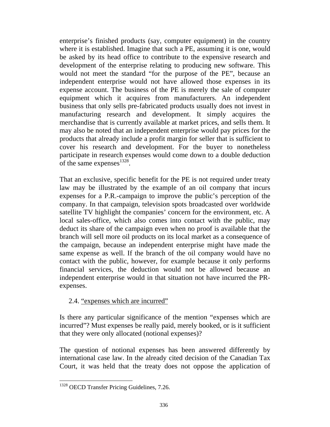enterprise's finished products (say, computer equipment) in the country where it is established. Imagine that such a PE, assuming it is one, would be asked by its head office to contribute to the expensive research and development of the enterprise relating to producing new software. This would not meet the standard "for the purpose of the PE", because an independent enterprise would not have allowed those expenses in its expense account. The business of the PE is merely the sale of computer equipment which it acquires from manufacturers. An independent business that only sells pre-fabricated products usually does not invest in manufacturing research and development. It simply acquires the merchandise that is currently available at market prices, and sells them. It may also be noted that an independent enterprise would pay prices for the products that already include a profit margin for seller that is sufficient to cover his research and development. For the buyer to nonetheless participate in research expenses would come down to a double deduction of the same expenses $^{1328}$ .

That an exclusive, specific benefit for the PE is not required under treaty law may be illustrated by the example of an oil company that incurs expenses for a P.R.-campaign to improve the public's perception of the company. In that campaign, television spots broadcasted over worldwide satellite TV highlight the companies' concern for the environment, etc. A local sales-office, which also comes into contact with the public, may deduct its share of the campaign even when no proof is available that the branch will sell more oil products on its local market as a consequence of the campaign, because an independent enterprise might have made the same expense as well. If the branch of the oil company would have no contact with the public, however, for example because it only performs financial services, the deduction would not be allowed because an independent enterprise would in that situation not have incurred the PRexpenses.

# 2.4. "expenses which are incurred"

Is there any particular significance of the mention "expenses which are incurred"? Must expenses be really paid, merely booked, or is it sufficient that they were only allocated (notional expenses)?

The question of notional expenses has been answered differently by international case law. In the already cited decision of the Canadian Tax Court, it was held that the treaty does not oppose the application of

<sup>&</sup>lt;sup>1328</sup> OECD Transfer Pricing Guidelines, 7.26.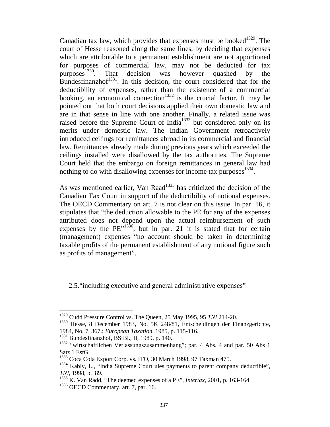Canadian tax law, which provides that expenses must be booked<sup>1329</sup>. The court of Hesse reasoned along the same lines, by deciding that expenses which are attributable to a permanent establishment are not apportioned for purposes of commercial law, may not be deducted for tax purposes  $1330$ . That decision was however quashed by the That decision was however quashed by the Bundesfinanzhof $^{1331}$ . In this decision, the court considered that for the deductibility of expenses, rather than the existence of a commercial booking, an economical connection<sup>1332</sup> is the crucial factor. It may be pointed out that both court decisions applied their own domestic law and are in that sense in line with one another. Finally, a related issue was raised before the Supreme Court of India<sup>1333</sup> but considered only on its merits under domestic law. The Indian Government retroactively introduced ceilings for remittances abroad in its commercial and financial law. Remittances already made during previous years which exceeded the ceilings installed were disallowed by the tax authorities. The Supreme Court held that the embargo on foreign remittances in general law had nothing to do with disallowing expenses for income tax purposes $^{1334}$ .

As was mentioned earlier, Van Raad<sup>1335</sup> has criticized the decision of the Canadian Tax Court in support of the deductibility of notional expenses. The OECD Commentary on art. 7 is not clear on this issue. In par. 16, it stipulates that "the deduction allowable to the PE for any of the expenses attributed does not depend upon the actual reimbursement of such expenses by the  $PE''^{1336}$ , but in par. 21 it is stated that for certain (management) expenses "no account should be taken in determining taxable profits of the permanent establishment of any notional figure such as profits of management".

2.5."including executive and general administrative expenses"

<sup>1329</sup> Cudd Pressure Control vs. The Queen, 25 May 1995, 95 *TNI* 214-20.

<sup>1330</sup> Hesse, 8 December 1983, No. 5K 248/81, Entscheidingen der Finanzgerichte, 1984, No. 7, 367.; *European Taxation*, 1985, p. 115-116.

<sup>1331</sup> Bundesfinanzhof, BStBl., II, 1989, p. 140.

<sup>&</sup>lt;sup>1332</sup> "wirtschaftlichen Verlassungszusammenhang"; par. 4 Abs. 4 and par. 50 Abs 1 Satz 1 EstG.

<sup>1333</sup> Coca Cola Export Corp. vs. ITO, 30 March 1998, 97 Taxman 475.

 $1334$  Kably, L., "India Supreme Court ules payments to parent company deductible", *TNI,* 1998, p. 89.

<sup>1335</sup> K. Van Radd, "The deemed expenses of a PE", *Intertax*, 2001, p. 163-164.

<sup>&</sup>lt;sup>1336</sup> OECD Commentary, art. 7, par. 16.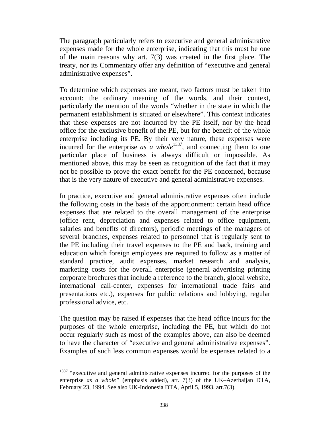The paragraph particularly refers to executive and general administrative expenses made for the whole enterprise, indicating that this must be one of the main reasons why art. 7(3) was created in the first place. The treaty, nor its Commentary offer any definition of "executive and general administrative expenses".

To determine which expenses are meant, two factors must be taken into account: the ordinary meaning of the words, and their context, particularly the mention of the words "whether in the state in which the permanent establishment is situated or elsewhere". This context indicates that these expenses are not incurred by the PE itself, nor by the head office for the exclusive benefit of the PE, but for the benefit of the whole enterprise including its PE. By their very nature, these expenses were incurred for the enterprise  $as$   $a$  whole<sup>1337</sup>, and connecting them to one particular place of business is always difficult or impossible. As mentioned above, this may be seen as recognition of the fact that it may not be possible to prove the exact benefit for the PE concerned, because that is the very nature of executive and general administrative expenses.

In practice, executive and general administrative expenses often include the following costs in the basis of the apportionment: certain head office expenses that are related to the overall management of the enterprise (office rent, depreciation and expenses related to office equipment, salaries and benefits of directors), periodic meetings of the managers of several branches, expenses related to personnel that is regularly sent to the PE including their travel expenses to the PE and back, training and education which foreign employees are required to follow as a matter of standard practice, audit expenses, market research and analysis, marketing costs for the overall enterprise (general advertising printing corporate brochures that include a reference to the branch, global website, international call-center, expenses for international trade fairs and presentations etc.), expenses for public relations and lobbying, regular professional advice, etc.

The question may be raised if expenses that the head office incurs for the purposes of the whole enterprise, including the PE, but which do not occur regularly such as most of the examples above, can also be deemed to have the character of "executive and general administrative expenses". Examples of such less common expenses would be expenses related to a

 $1337$  "executive and general administrative expenses incurred for the purposes of the enterprise *as a whole"* (emphasis added), art. 7(3) of the UK–Azerbaijan DTA, February 23, 1994. See also UK-Indonesia DTA, April 5, 1993, art.7(3).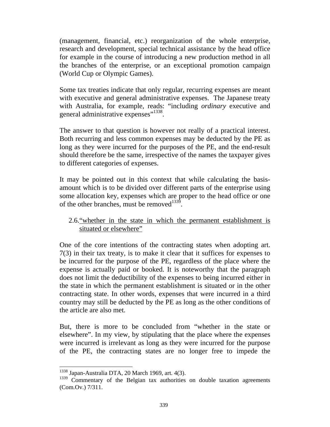(management, financial, etc.) reorganization of the whole enterprise, research and development, special technical assistance by the head office for example in the course of introducing a new production method in all the branches of the enterprise, or an exceptional promotion campaign (World Cup or Olympic Games).

Some tax treaties indicate that only regular, recurring expenses are meant with executive and general administrative expenses. The Japanese treaty with Australia, for example, reads: "including *ordinary* executive and general administrative expenses"<sup>1338</sup>.

The answer to that question is however not really of a practical interest. Both recurring and less common expenses may be deducted by the PE as long as they were incurred for the purposes of the PE, and the end-result should therefore be the same, irrespective of the names the taxpayer gives to different categories of expenses.

It may be pointed out in this context that while calculating the basisamount which is to be divided over different parts of the enterprise using some allocation key, expenses which are proper to the head office or one of the other branches, must be removed $^{1339}$ .

## 2.6."whether in the state in which the permanent establishment is situated or elsewhere"

One of the core intentions of the contracting states when adopting art. 7(3) in their tax treaty, is to make it clear that it suffices for expenses to be incurred for the purpose of the PE, regardless of the place where the expense is actually paid or booked. It is noteworthy that the paragraph does not limit the deductibility of the expenses to being incurred either in the state in which the permanent establishment is situated or in the other contracting state. In other words, expenses that were incurred in a third country may still be deducted by the PE as long as the other conditions of the article are also met.

But, there is more to be concluded from "whether in the state or elsewhere". In my view, by stipulating that the place where the expenses were incurred is irrelevant as long as they were incurred for the purpose of the PE, the contracting states are no longer free to impede the

<sup>&</sup>lt;sup>1338</sup> Japan-Australia DTA, 20 March 1969, art. 4(3).

<sup>1339</sup> Commentary of the Belgian tax authorities on double taxation agreements (Com.Ov.) 7/311.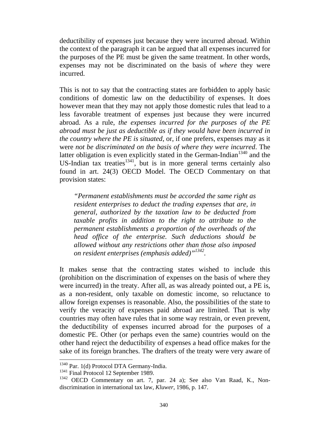deductibility of expenses just because they were incurred abroad. Within the context of the paragraph it can be argued that all expenses incurred for the purposes of the PE must be given the same treatment. In other words, expenses may not be discriminated on the basis of *where* they were incurred.

This is not to say that the contracting states are forbidden to apply basic conditions of domestic law on the deductibility of expenses. It does however mean that they may not apply those domestic rules that lead to a less favorable treatment of expenses just because they were incurred abroad. As a rule, *the expenses incurred for the purposes of the PE abroad must be just as deductible as if they would have been incurred in the country where the PE is situated*, or, if one prefers, expenses may as it were *not be discriminated on the basis of where they were incurred*. The latter obligation is even explicitly stated in the German-Indian<sup>1340</sup> and the US-Indian tax treaties<sup>1341</sup>, but is in more general terms certainly also found in art. 24(3) OECD Model. The OECD Commentary on that provision states:

*"Permanent establishments must be accorded the same right as resident enterprises to deduct the trading expenses that are, in general, authorized by the taxation law to be deducted from taxable profits in addition to the right to attribute to the permanent establishments a proportion of the overheads of the head office of the enterprise. Such deductions should be allowed without any restrictions other than those also imposed on resident enterprises (emphasis added)"1342.* 

It makes sense that the contracting states wished to include this (prohibition on the discrimination of expenses on the basis of where they were incurred) in the treaty. After all, as was already pointed out, a PE is, as a non-resident, only taxable on domestic income, so reluctance to allow foreign expenses is reasonable. Also, the possibilities of the state to verify the veracity of expenses paid abroad are limited. That is why countries may often have rules that in some way restrain, or even prevent, the deductibility of expenses incurred abroad for the purposes of a domestic PE. Other (or perhaps even the same) countries would on the other hand reject the deductibility of expenses a head office makes for the sake of its foreign branches. The drafters of the treaty were very aware of

<sup>&</sup>lt;sup>1340</sup> Par. 1(d) Protocol DTA Germany-India.

<sup>&</sup>lt;sup>1341</sup> Final Protocol 12 September 1989.

<sup>&</sup>lt;sup>1342</sup> OECD Commentary on art. 7, par. 24 a); See also Van Raad, K., Nondiscrimination in international tax law, *Kluwer*, 1986, p. 147.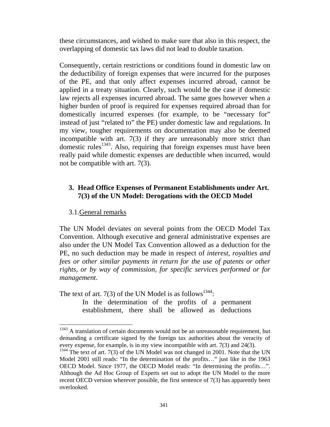these circumstances, and wished to make sure that also in this respect, the overlapping of domestic tax laws did not lead to double taxation.

Consequently, certain restrictions or conditions found in domestic law on the deductibility of foreign expenses that were incurred for the purposes of the PE, and that only affect expenses incurred abroad, cannot be applied in a treaty situation. Clearly, such would be the case if domestic law rejects all expenses incurred abroad. The same goes however when a higher burden of proof is required for expenses required abroad than for domestically incurred expenses (for example, to be "necessary for" instead of just "related to" the PE) under domestic law and regulations. In my view, tougher requirements on documentation may also be deemed incompatible with art. 7(3) if they are unreasonably more strict than domestic rules<sup>1343</sup>. Also, requiring that foreign expenses must have been really paid while domestic expenses are deductible when incurred, would not be compatible with art. 7(3).

#### **3. Head Office Expenses of Permanent Establishments under Art. 7(3) of the UN Model: Derogations with the OECD Model**

#### 3.1.General remarks

 $\overline{a}$ 

The UN Model deviates on several points from the OECD Model Tax Convention. Although executive and general administrative expenses are also under the UN Model Tax Convention allowed as a deduction for the PE, no such deduction may be made in respect of *interest, royalties and fees or other similar payments in return for the use of patents or other rights*, *or by way of commission, for specific services performed or for management*.

The text of art. 7(3) of the UN Model is as follows<sup>1344</sup>:

In the determination of the profits of a permanent establishment, there shall be allowed as deductions

 $1343$  A translation of certain documents would not be an unreasonable requirement, but demanding a certificate signed by the foreign tax authorities about the veracity of every expense, for example, is in my view incompatible with art. 7(3) and 24(3).

 $1344$  The text of art. 7(3) of the UN Model was not changed in 2001. Note that the UN Model 2001 still reads: "In the determination of the profits…" just like in the 1963 OECD Model. Since 1977, the OECD Model reads: "In determining the profits…". Although the Ad Hoc Group of Experts set out to adopt the UN Model to the more recent OECD version wherever possible, the first sentence of 7(3) has apparently been overlooked.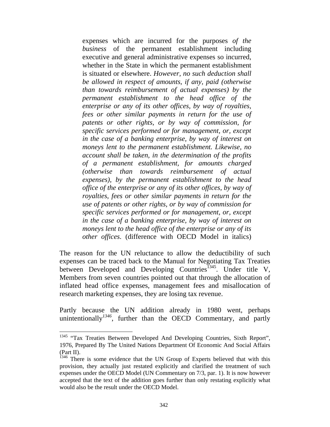expenses which are incurred for the purposes *of the business* of the permanent establishment including executive and general administrative expenses so incurred, whether in the State in which the permanent establishment is situated or elsewhere. *However, no such deduction shall be allowed in respect of amounts, if any, paid (otherwise than towards reimbursement of actual expenses) by the permanent establishment to the head office of the enterprise or any of its other offices, by way of royalties, fees or other similar payments in return for the use of patents or other rights, or by way of commission, for specific services performed or for management, or, except in the case of a banking enterprise, by way of interest on moneys lent to the permanent establishment. Likewise, no account shall be taken, in the determination of the profits of a permanent establishment, for amounts charged (otherwise than towards reimbursement of actual expenses), by the permanent establishment to the head office of the enterprise or any of its other offices, by way of royalties, fees or other similar payments in return for the use of patents or other rights, or by way of commission for specific services performed or for management, or, except in the case of a banking enterprise, by way of interest on moneys lent to the head office of the enterprise or any of its other offices*. (difference with OECD Model in italics)

The reason for the UN reluctance to allow the deductibility of such expenses can be traced back to the Manual for Negotiating Tax Treaties between Developed and Developing Countries<sup> $1345$ </sup>. Under title V, Members from seven countries pointed out that through the allocation of inflated head office expenses, management fees and misallocation of research marketing expenses, they are losing tax revenue.

Partly because the UN addition already in 1980 went, perhaps unintentionally<sup>1346</sup>, further than the OECD Commentary, and partly

<sup>&</sup>lt;sup>1345</sup> "Tax Treaties Between Developed And Developing Countries, Sixth Report", 1976, Prepared By The United Nations Department Of Economic And Social Affairs (Part II).

 $1346$  There is some evidence that the UN Group of Experts believed that with this provision, they actually just restated explicitly and clarified the treatment of such expenses under the OECD Model (UN Commentary on 7/3, par. 1). It is now however accepted that the text of the addition goes further than only restating explicitly what would also be the result under the OECD Model.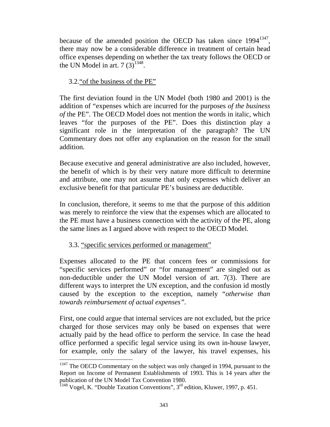because of the amended position the OECD has taken since 1994<sup>1347</sup>. there may now be a considerable difference in treatment of certain head office expenses depending on whether the tax treaty follows the OECD or the UN Model in art.  $7(3)^{1348}$ .

# 3.2."of the business of the PE"

The first deviation found in the UN Model (both 1980 and 2001) is the addition of "expenses which are incurred for the purposes *of the business of* the PE". The OECD Model does not mention the words in italic, which leaves "for the purposes of the PE". Does this distinction play a significant role in the interpretation of the paragraph? The UN Commentary does not offer any explanation on the reason for the small addition.

Because executive and general administrative are also included, however, the benefit of which is by their very nature more difficult to determine and attribute, one may not assume that only expenses which deliver an exclusive benefit for that particular PE's business are deductible.

In conclusion, therefore, it seems to me that the purpose of this addition was merely to reinforce the view that the expenses which are allocated to the PE must have a business connection with the activity of the PE, along the same lines as I argued above with respect to the OECD Model.

## 3.3. "specific services performed or management"

 $\overline{a}$ 

Expenses allocated to the PE that concern fees or commissions for "specific services performed" or "for management" are singled out as non-deductible under the UN Model version of art. 7(3). There are different ways to interpret the UN exception, and the confusion id mostly caused by the exception to the exception, namely "*otherwise than towards reimbursement of actual expenses".*

First, one could argue that internal services are not excluded, but the price charged for those services may only be based on expenses that were actually paid by the head office to perform the service. In case the head office performed a specific legal service using its own in-house lawyer, for example, only the salary of the lawyer, his travel expenses, his

 $1347$  The OECD Commentary on the subject was only changed in 1994, pursuant to the Report on Income of Permanent Establishments of 1993. This is 14 years after the publication of the UN Model Tax Convention 1980.

<sup>&</sup>lt;sup>1348</sup> Vogel, K. "Double Taxation Conventions",  $3<sup>rd</sup>$  edition, Kluwer, 1997, p. 451.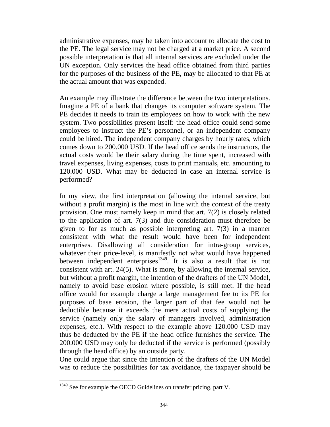administrative expenses, may be taken into account to allocate the cost to the PE. The legal service may not be charged at a market price. A second possible interpretation is that all internal services are excluded under the UN exception. Only services the head office obtained from third parties for the purposes of the business of the PE, may be allocated to that PE at the actual amount that was expended.

An example may illustrate the difference between the two interpretations. Imagine a PE of a bank that changes its computer software system. The PE decides it needs to train its employees on how to work with the new system. Two possibilities present itself: the head office could send some employees to instruct the PE's personnel, or an independent company could be hired. The independent company charges by hourly rates, which comes down to 200.000 USD. If the head office sends the instructors, the actual costs would be their salary during the time spent, increased with travel expenses, living expenses, costs to print manuals, etc. amounting to 120.000 USD. What may be deducted in case an internal service is performed?

In my view, the first interpretation (allowing the internal service, but without a profit margin) is the most in line with the context of the treaty provision. One must namely keep in mind that art. 7(2) is closely related to the application of art. 7(3) and due consideration must therefore be given to for as much as possible interpreting art. 7(3) in a manner consistent with what the result would have been for independent enterprises. Disallowing all consideration for intra-group services, whatever their price-level, is manifestly not what would have happened between independent enterprises $1349$ . It is also a result that is not consistent with art. 24(5). What is more, by allowing the internal service, but without a profit margin, the intention of the drafters of the UN Model, namely to avoid base erosion where possible, is still met. If the head office would for example charge a large management fee to its PE for purposes of base erosion, the larger part of that fee would not be deductible because it exceeds the mere actual costs of supplying the service (namely only the salary of managers involved, administration expenses, etc.). With respect to the example above 120.000 USD may thus be deducted by the PE if the head office furnishes the service. The 200.000 USD may only be deducted if the service is performed (possibly through the head office) by an outside party.

One could argue that since the intention of the drafters of the UN Model was to reduce the possibilities for tax avoidance, the taxpayer should be

<sup>&</sup>lt;sup>1349</sup> See for example the OECD Guidelines on transfer pricing, part V.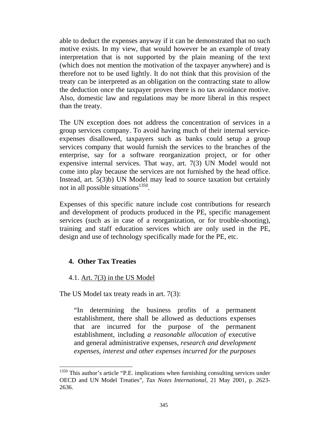able to deduct the expenses anyway if it can be demonstrated that no such motive exists. In my view, that would however be an example of treaty interpretation that is not supported by the plain meaning of the text (which does not mention the motivation of the taxpayer anywhere) and is therefore not to be used lightly. It do not think that this provision of the treaty can be interpreted as an obligation on the contracting state to allow the deduction once the taxpayer proves there is no tax avoidance motive. Also, domestic law and regulations may be more liberal in this respect than the treaty.

The UN exception does not address the concentration of services in a group services company. To avoid having much of their internal serviceexpenses disallowed, taxpayers such as banks could setup a group services company that would furnish the services to the branches of the enterprise, say for a software reorganization project, or for other expensive internal services. That way, art. 7(3) UN Model would not come into play because the services are not furnished by the head office. Instead, art. 5(3)b) UN Model may lead to source taxation but certainly not in all possible situations<sup>1350</sup>.

Expenses of this specific nature include cost contributions for research and development of products produced in the PE, specific management services (such as in case of a reorganization, or for trouble-shooting), training and staff education services which are only used in the PE, design and use of technology specifically made for the PE, etc.

## **4. Other Tax Treaties**

 $\overline{a}$ 

#### 4.1. Art. 7(3) in the US Model

The US Model tax treaty reads in art. 7(3):

"In determining the business profits of a permanent establishment, there shall be allowed as deductions expenses that are incurred for the purpose of the permanent establishment, including *a reasonable allocation of* executive and general administrative expenses, *research and development expenses, interest and other expenses incurred for the purposes* 

 $1350$  This author's article "P.E. implications when furnishing consulting services under OECD and UN Model Treaties", *Tax Notes International*, 21 May 2001, p. 2623- 2636.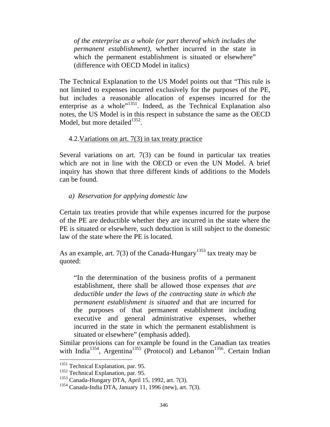*of the enterprise as a whole (or part thereof which includes the permanent establishment),* whether incurred in the state in which the permanent establishment is situated or elsewhere" (difference with OECD Model in italics)

The Technical Explanation to the US Model points out that "This rule is not limited to expenses incurred exclusively for the purposes of the PE, but includes a reasonable allocation of expenses incurred for the enterprise as a whole"<sup>1351</sup>. Indeed, as the Technical Explanation also notes, the US Model is in this respect in substance the same as the OECD Model, but more detailed $^{1352}$ .

#### 4.2.Variations on art. 7(3) in tax treaty practice

Several variations on art. 7(3) can be found in particular tax treaties which are not in line with the OECD or even the UN Model. A brief inquiry has shown that three different kinds of additions to the Models can be found.

#### *a) Reservation for applying domestic law*

Certain tax treaties provide that while expenses incurred for the purpose of the PE are deductible whether they are incurred in the state where the PE is situated or elsewhere, such deduction is still subject to the domestic law of the state where the PE is located.

As an example, art. 7(3) of the Canada-Hungary<sup>1353</sup> tax treaty may be quoted:

"In the determination of the business profits of a permanent establishment, there shall be allowed those expenses *that are deductible under the laws of the contracting state in which the permanent establishment is situated* and that are incurred for the purposes of that permanent establishment including executive and general administrative expenses, whether incurred in the state in which the permanent establishment is situated or elsewhere" (emphasis added).

Similar provisions can for example be found in the Canadian tax treaties with India<sup>1354</sup>, Argentina<sup>1355</sup> (Protocol) and Lebanon<sup>1356</sup>. Certain Indian

<sup>&</sup>lt;sup>1351</sup> Technical Explanation, par. 95.

<sup>&</sup>lt;sup>1352</sup> Technical Explanation, par. 95.

<sup>1353</sup> Canada-Hungary DTA, April 15, 1992, art. 7(3).

<sup>1354</sup> Canada-India DTA, January 11, 1996 (new), art. 7(3).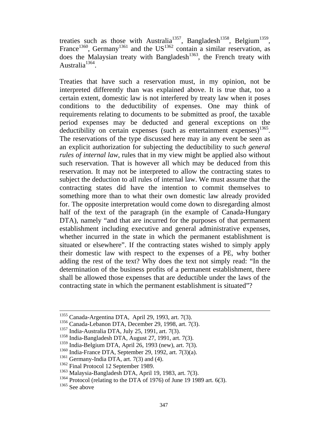treaties such as those with Australia<sup>1357</sup>, Bangladesh<sup>1358</sup>, Belgium<sup>1359</sup>, France<sup>1360</sup>, Germany<sup>1361</sup> and the US<sup>1362</sup> contain a similar reservation, as does the Malaysian treaty with Bangladesh<sup>1363</sup>, the French treaty with Australia<sup>1364</sup>.

Treaties that have such a reservation must, in my opinion, not be interpreted differently than was explained above. It is true that, too a certain extent, domestic law is not interfered by treaty law when it poses conditions to the deductibility of expenses. One may think of requirements relating to documents to be submitted as proof, the taxable period expenses may be deducted and general exceptions on the deductibility on certain expenses (such as entertainment expenses)<sup>1365</sup>. The reservations of the type discussed here may in any event be seen as an explicit authorization for subjecting the deductibility to *such general rules of internal law*, rules that in my view might be applied also without such reservation. That is however all which may be deduced from this reservation. It may not be interpreted to allow the contracting states to subject the deduction to all rules of internal law. We must assume that the contracting states did have the intention to commit themselves to something more than to what their own domestic law already provided for. The opposite interpretation would come down to disregarding almost half of the text of the paragraph (in the example of Canada-Hungary DTA), namely "and that are incurred for the purposes of that permanent establishment including executive and general administrative expenses, whether incurred in the state in which the permanent establishment is situated or elsewhere". If the contracting states wished to simply apply their domestic law with respect to the expenses of a PE, why bother adding the rest of the text? Why does the text not simply read: "In the determination of the business profits of a permanent establishment, there shall be allowed those expenses that are deductible under the laws of the contracting state in which the permanent establishment is situated"?

 <sup>1355</sup> Canada-Argentina DTA, April 29, 1993, art. 7(3).

<sup>1356</sup> Canada-Lebanon DTA, December 29, 1998, art. 7(3).

<sup>1357</sup> India-Australia DTA, July 25, 1991, art. 7(3).

<sup>1358</sup> India-Bangladesh DTA, August 27, 1991, art. 7(3).

 $1359$  India-Belgium DTA, April 26, 1993 (new), art. 7(3).

 $1360$  India-France DTA, September 29, 1992, art. 7(3)(a).

<sup>1361</sup> Germany-India DTA, art. 7(3) and (4).

<sup>&</sup>lt;sup>1362</sup> Final Protocol 12 September 1989.

<sup>1363</sup> Malaysia-Bangladesh DTA, April 19, 1983, art. 7(3).

 $1364$  Protocol (relating to the DTA of 1976) of June 19 1989 art. 6(3).

<sup>&</sup>lt;sup>1365</sup> See above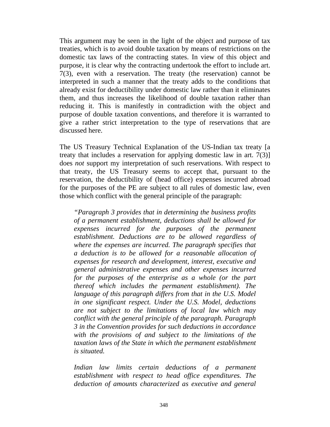This argument may be seen in the light of the object and purpose of tax treaties, which is to avoid double taxation by means of restrictions on the domestic tax laws of the contracting states. In view of this object and purpose, it is clear why the contracting undertook the effort to include art. 7(3), even with a reservation. The treaty (the reservation) cannot be interpreted in such a manner that the treaty adds to the conditions that already exist for deductibility under domestic law rather than it eliminates them, and thus increases the likelihood of double taxation rather than reducing it. This is manifestly in contradiction with the object and purpose of double taxation conventions, and therefore it is warranted to give a rather strict interpretation to the type of reservations that are discussed here.

The US Treasury Technical Explanation of the US-Indian tax treaty [a treaty that includes a reservation for applying domestic law in art. 7(3)] does *not* support my interpretation of such reservations. With respect to that treaty, the US Treasury seems to accept that, pursuant to the reservation, the deductibility of (head office) expenses incurred abroad for the purposes of the PE are subject to all rules of domestic law, even those which conflict with the general principle of the paragraph:

*"Paragraph 3 provides that in determining the business profits of a permanent establishment, deductions shall be allowed for expenses incurred for the purposes of the permanent establishment. Deductions are to be allowed regardless of where the expenses are incurred. The paragraph specifies that a deduction is to be allowed for a reasonable allocation of expenses for research and development, interest, executive and general administrative expenses and other expenses incurred for the purposes of the enterprise as a whole (or the part thereof which includes the permanent establishment). The language of this paragraph differs from that in the U.S. Model in one significant respect. Under the U.S. Model, deductions are not subject to the limitations of local law which may conflict with the general principle of the paragraph. Paragraph 3 in the Convention provides for such deductions in accordance with the provisions of and subject to the limitations of the taxation laws of the State in which the permanent establishment is situated.* 

*Indian law limits certain deductions of a permanent establishment with respect to head office expenditures. The deduction of amounts characterized as executive and general*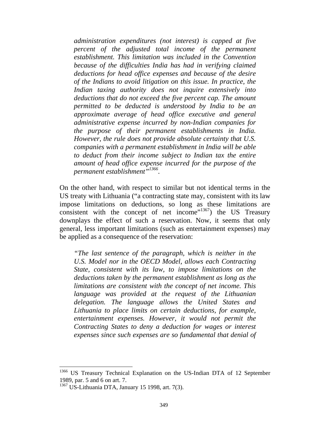*administration expenditures (not interest) is capped at five percent of the adjusted total income of the permanent establishment. This limitation was included in the Convention because of the difficulties India has had in verifying claimed deductions for head office expenses and because of the desire of the Indians to avoid litigation on this issue. In practice, the Indian taxing authority does not inquire extensively into deductions that do not exceed the five percent cap. The amount permitted to be deducted is understood by India to be an approximate average of head office executive and general administrative expense incurred by non-Indian companies for the purpose of their permanent establishments in India. However, the rule does not provide absolute certainty that U.S. companies with a permanent establishment in India will be able to deduct from their income subject to Indian tax the entire amount of head office expense incurred for the purpose of the permanent establishment"1366.* 

On the other hand, with respect to similar but not identical terms in the US treaty with Lithuania ("a contracting state may, consistent with its law impose limitations on deductions, so long as these limitations are consistent with the concept of net income"<sup>1367</sup>) the US Treasury downplays the effect of such a reservation. Now, it seems that only general, less important limitations (such as entertainment expenses) may be applied as a consequence of the reservation:

*"The last sentence of the paragraph, which is neither in the U.S. Model nor in the OECD Model, allows each Contracting State, consistent with its law, to impose limitations on the deductions taken by the permanent establishment as long as the limitations are consistent with the concept of net income. This language was provided at the request of the Lithuanian delegation. The language allows the United States and Lithuania to place limits on certain deductions, for example, entertainment expenses. However, it would not permit the Contracting States to deny a deduction for wages or interest expenses since such expenses are so fundamental that denial of* 

<sup>&</sup>lt;sup>1366</sup> US Treasury Technical Explanation on the US-Indian DTA of 12 September 1989, par. 5 and 6 on art. 7.

<sup>1367</sup> US-Lithuania DTA, January 15 1998, art. 7(3).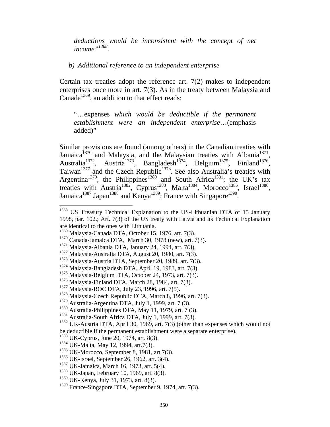*deductions would be inconsistent with the concept of net income"1368.* 

*b) Additional reference to an independent enterprise* 

Certain tax treaties adopt the reference art. 7(2) makes to independent enterprises once more in art. 7(3). As in the treaty between Malaysia and Canada<sup>1369</sup>, an addition to that effect reads:

"…expenses *which would be deductible if the permanent establishment were an independent enterprise*…(emphasis added)"

Similar provisions are found (among others) in the Canadian treaties with Jamaica<sup>1370</sup> and Malaysia, and the Malaysian treaties with Albania<sup>1371</sup>, Australia<sup>1372</sup>, Austria<sup>1373</sup>, Bangladesh<sup>1374</sup>, Belgium<sup>1375</sup>, Finland<sup>1376</sup>, Taiwan<sup>1377</sup> and the Czech Republic<sup>1378</sup>. See also Australia's treaties with Argentina<sup>1379</sup>, the Philippines<sup>1380</sup> and South Africa<sup>1381</sup>; the UK's tax treaties with Austria<sup>1382</sup>, Cyprus<sup>1383</sup>, Malta<sup>1384</sup>, Morocco<sup>1385</sup>, Israel<sup>1386</sup>, Jamaica<sup>1387</sup> Japan<sup>1388</sup> and Kenya<sup>1389</sup>; France with Singapore<sup>1390</sup>.

<sup>&</sup>lt;sup>1368</sup> US Treasury Technical Explanation to the US-Lithuanian DTA of 15 January 1998, par. 102.; Art. 7(3) of the US treaty with Latvia and its Technical Explanation are identical to the ones with Lithuania.

<sup>1369</sup> Malaysia-Canada DTA, October 15, 1976, art. 7(3).

<sup>1370</sup> Canada-Jamaica DTA, March 30, 1978 (new), art. 7(3).

<sup>1371</sup> Malaysia-Albania DTA, January 24, 1994, art. 7(3).

<sup>1372</sup> Malaysia-Australia DTA, August 20, 1980, art. 7(3).

<sup>1373</sup> Malaysia-Austria DTA, September 20, 1989, art. 7(3).

<sup>1374</sup> Malaysia-Bangladesh DTA, April 19, 1983, art. 7(3).

<sup>1375</sup> Malaysia-Belgium DTA, October 24, 1973, art. 7(3).

<sup>1376</sup> Malaysia-Finland DTA, March 28, 1984, art. 7(3).

<sup>1377</sup> Malaysia-ROC DTA, July 23, 1996, art. 7(5).

 $1378$  Malaysia-Czech Republic DTA, March 8, 1996, art. 7(3).

<sup>1379</sup> Australia-Argentina DTA, July 1, 1999, art. 7 (3).

<sup>1380</sup> Australia-Philippines DTA, May 11, 1979, art. 7 (3).

<sup>1381</sup> Australia-South Africa DTA, July 1, 1999, art. 7(3).

 $1382$  UK-Austria DTA, April 30, 1969, art. 7(3) (other than expenses which would not be deductible if the permanent establishment were a separate enterprise).

<sup>1383</sup> UK-Cyprus, June 20, 1974, art. 8(3).

<sup>1384</sup> UK-Malta, May 12, 1994, art.7(3).

 $1385$  UK-Morocco, September 8, 1981, art.7(3).

<sup>1386</sup> UK-Israel, September 26, 1962, art. 3(4).

<sup>&</sup>lt;sup>1387</sup> UK-Jamaica, March 16, 1973, art. 5(4).

<sup>1388</sup> UK-Japan, February 10, 1969, art. 8(3).

<sup>1389</sup> UK-Kenya, July 31, 1973, art. 8(3).

<sup>1390</sup> France-Singapore DTA, September 9, 1974, art. 7(3).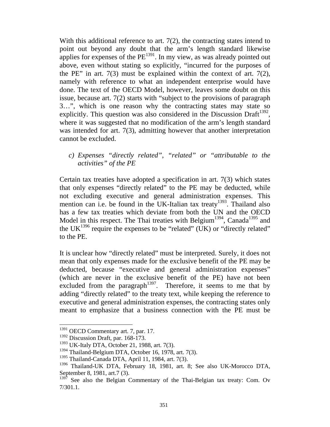With this additional reference to art. 7(2), the contracting states intend to point out beyond any doubt that the arm's length standard likewise applies for expenses of the  $PE^{1391}$ . In my view, as was already pointed out above, even without stating so explicitly, "incurred for the purposes of the PE" in art.  $7(3)$  must be explained within the context of art.  $7(2)$ , namely with reference to what an independent enterprise would have done. The text of the OECD Model, however, leaves some doubt on this issue, because art. 7(2) starts with "subject to the provisions of paragraph 3…", which is one reason why the contracting states may state so explicitly. This question was also considered in the Discussion Draft<sup>1392</sup>, where it was suggested that no modification of the arm's length standard was intended for art. 7(3), admitting however that another interpretation cannot be excluded.

*c) Expenses "directly related", "related" or "attributable to the activities" of the PE* 

Certain tax treaties have adopted a specification in art. 7(3) which states that only expenses "directly related" to the PE may be deducted, while not excluding executive and general administration expenses. This mention can i.e. be found in the UK-Italian tax treaty<sup>1393</sup>. Thailand also has a few tax treaties which deviate from both the UN and the OECD Model in this respect. The Thai treaties with Belgium<sup>1394</sup>, Canada<sup>1395</sup> and the UK $^{1396}$  require the expenses to be "related" (UK) or "directly related" to the PE.

It is unclear how "directly related" must be interpreted. Surely, it does not mean that only expenses made for the exclusive benefit of the PE may be deducted, because "executive and general administration expenses" (which are never in the exclusive benefit of the PE) have not been excluded from the paragraph<sup>1397</sup>. Therefore, it seems to me that by adding "directly related" to the treaty text, while keeping the reference to executive and general administration expenses, the contracting states only meant to emphasize that a business connection with the PE must be

<sup>&</sup>lt;sup>1391</sup> OECD Commentary art. 7, par. 17.

<sup>&</sup>lt;sup>1392</sup> Discussion Draft, par. 168-173.

<sup>&</sup>lt;sup>1393</sup> UK-Italy DTA, October 21, 1988, art. 7(3).

 $1394$  Thailand-Belgium DTA, October 16, 1978, art. 7(3).

<sup>1395</sup> Thailand-Canada DTA, April 11, 1984, art. 7(3).

<sup>1396</sup> Thailand-UK DTA, February 18, 1981, art. 8; See also UK-Morocco DTA, September 8, 1981, art.7 (3).

 $1397$  See also the Belgian Commentary of the Thai-Belgian tax treaty: Com. Ov 7/301.1.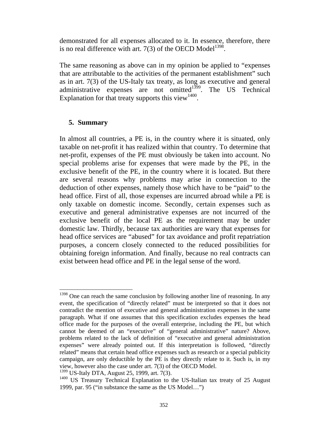demonstrated for all expenses allocated to it. In essence, therefore, there is no real difference with art. 7(3) of the OECD Model<sup>1398</sup>.

The same reasoning as above can in my opinion be applied to "expenses that are attributable to the activities of the permanent establishment" such as in art. 7(3) of the US-Italy tax treaty, as long as executive and general administrative expenses are not omitted $1399$ . The US Technical Explanation for that treaty supports this view<sup>1400</sup>.

#### **5. Summary**

In almost all countries, a PE is, in the country where it is situated, only taxable on net-profit it has realized within that country. To determine that net-profit, expenses of the PE must obviously be taken into account. No special problems arise for expenses that were made by the PE, in the exclusive benefit of the PE, in the country where it is located. But there are several reasons why problems may arise in connection to the deduction of other expenses, namely those which have to be "paid" to the head office. First of all, those expenses are incurred abroad while a PE is only taxable on domestic income. Secondly, certain expenses such as executive and general administrative expenses are not incurred of the exclusive benefit of the local PE as the requirement may be under domestic law. Thirdly, because tax authorities are wary that expenses for head office services are "abused" for tax avoidance and profit repatriation purposes, a concern closely connected to the reduced possibilities for obtaining foreign information. And finally, because no real contracts can exist between head office and PE in the legal sense of the word.

  $1398$  One can reach the same conclusion by following another line of reasoning. In any event, the specification of "directly related" must be interpreted so that it does not contradict the mention of executive and general administration expenses in the same paragraph. What if one assumes that this specification excludes expenses the head office made for the purposes of the overall enterprise, including the PE, but which cannot be deemed of an "executive" of "general administrative" nature? Above, problems related to the lack of definition of "executive and general administration expenses" were already pointed out. If this interpretation is followed, "directly related" means that certain head office expenses such as research or a special publicity campaign, are only deductible by the PE is they directly relate to it. Such is, in my view, however also the case under art. 7(3) of the OECD Model.

<sup>&</sup>lt;sup>1399</sup> US-Italy DTA, August 25, 1999, art. 7(3).

<sup>&</sup>lt;sup>1400</sup> US Treasury Technical Explanation to the US-Italian tax treaty of 25 August 1999, par. 95 ("in substance the same as the US Model…")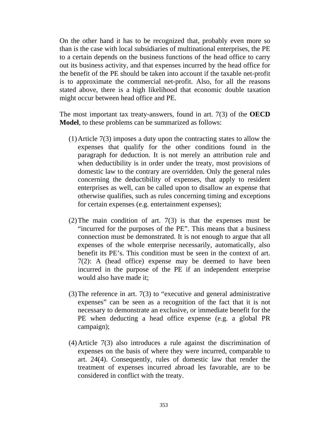On the other hand it has to be recognized that, probably even more so than is the case with local subsidiaries of multinational enterprises, the PE to a certain depends on the business functions of the head office to carry out its business activity, and that expenses incurred by the head office for the benefit of the PE should be taken into account if the taxable net-profit is to approximate the commercial net-profit. Also, for all the reasons stated above, there is a high likelihood that economic double taxation might occur between head office and PE.

The most important tax treaty-answers, found in art. 7(3) of the **OECD Model**, to these problems can be summarized as follows:

- (1)Article 7(3) imposes a duty upon the contracting states to allow the expenses that qualify for the other conditions found in the paragraph for deduction. It is not merely an attribution rule and when deductibility is in order under the treaty, most provisions of domestic law to the contrary are overridden. Only the general rules concerning the deductibility of expenses, that apply to resident enterprises as well, can be called upon to disallow an expense that otherwise qualifies, such as rules concerning timing and exceptions for certain expenses (e.g. entertainment expenses);
- (2)The main condition of art. 7(3) is that the expenses must be "incurred for the purposes of the PE". This means that a business connection must be demonstrated. It is not enough to argue that all expenses of the whole enterprise necessarily, automatically, also benefit its PE's. This condition must be seen in the context of art. 7(2): A (head office) expense may be deemed to have been incurred in the purpose of the PE if an independent enterprise would also have made it;
- (3)The reference in art. 7(3) to "executive and general administrative expenses" can be seen as a recognition of the fact that it is not necessary to demonstrate an exclusive, or immediate benefit for the PE when deducting a head office expense (e.g. a global PR campaign);
- (4)Article 7(3) also introduces a rule against the discrimination of expenses on the basis of where they were incurred, comparable to art. 24(4). Consequently, rules of domestic law that render the treatment of expenses incurred abroad les favorable, are to be considered in conflict with the treaty.